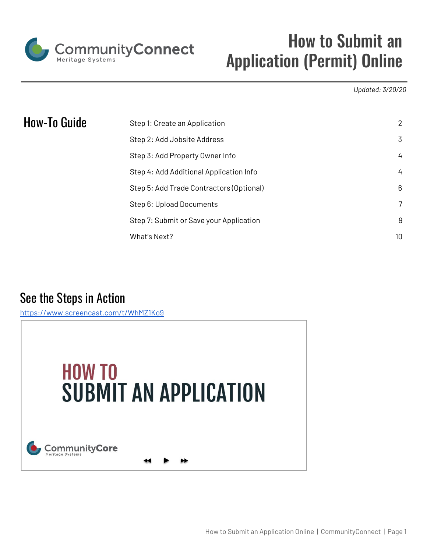

# How to Submit an Application (Permit) Online

*Updated: 3/20/20*

| How-To Guide | Step 1: Create an Application            | 2  |
|--------------|------------------------------------------|----|
|              | Step 2: Add Jobsite Address              | 3  |
|              | Step 3: Add Property Owner Info          | 4  |
|              | Step 4: Add Additional Application Info  | 4  |
|              | Step 5: Add Trade Contractors (Optional) | 6  |
|              | Step 6: Upload Documents                 |    |
|              | Step 7: Submit or Save your Application  | 9  |
|              | What's Next?                             | 10 |

## See the Steps in Action

<https://www.screencast.com/t/WhMZ1Ko9>

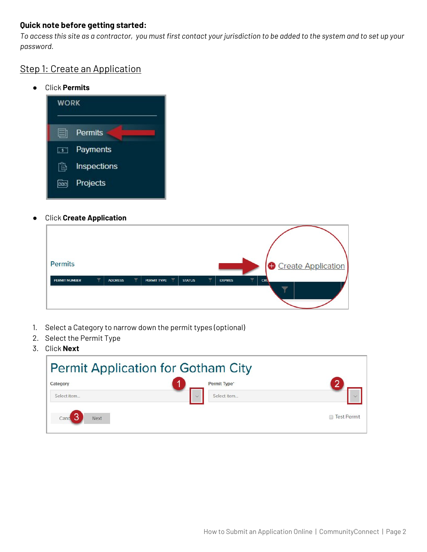#### **Quick note before getting started:**

To access this site as a contractor, you must first contact your jurisdiction to be added to the system and to set up your *password.*

#### <span id="page-1-0"></span>Step 1: Create an Application

● Click **Permits**



● Click **Create Application**

| <b>Permits</b>       |                                           |                                                                   |                                                            | Create Application                     |
|----------------------|-------------------------------------------|-------------------------------------------------------------------|------------------------------------------------------------|----------------------------------------|
| <b>PERMIT NUMBER</b> | $\overline{\mathbf{v}}$<br><b>ADDRESS</b> | $\overline{\mathbf{Y}}$<br>$\overline{\mathbf{Y}}$<br>PERMIT TYPE | $\overline{\mathbf{Y}}$<br><b>STATUS</b><br><b>EXPIRES</b> | $\overline{\phantom{a}}$<br><b>CRL</b> |

- 1. Select a Category to narrow down the permit types (optional)
- 2. Select the Permit Type
- 3. Click **Next**

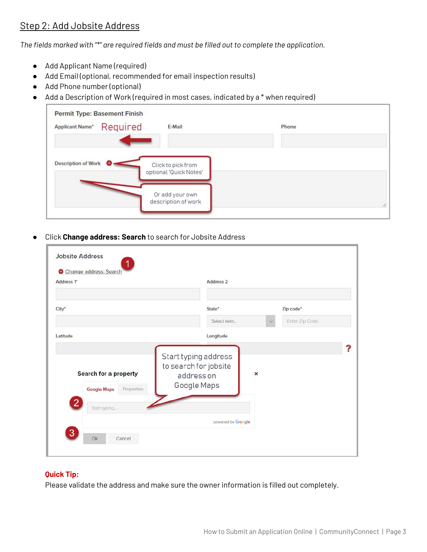## <span id="page-2-0"></span>Step 2: Add Jobsite Address

*The fields marked with "\*" are required fields and must be filled out to complete the application.*

- Add Applicant Name (required)
- Add Email (optional, recommended for email inspection results)
- Add Phone number (optional)
- Add a Description of Work (required in most cases, indicated by a \* when required)

| <b>Permit Type: Basement Finish</b><br>Required<br><b>Applicant Name*</b> | E-Mail                                       | Phone |   |
|---------------------------------------------------------------------------|----------------------------------------------|-------|---|
| Description of Work                                                       | Click to pick from<br>optional 'Quick Notes' |       |   |
|                                                                           | Or add your own<br>description of work       |       | 4 |

● Click **Change address: Search** to search for Jobsite Address

| Address <sub>1</sub> *                                                      | Address <sub>2</sub>                                                                                    |                          |
|-----------------------------------------------------------------------------|---------------------------------------------------------------------------------------------------------|--------------------------|
| City*                                                                       | State*                                                                                                  | Zip code*                |
|                                                                             | Select item                                                                                             | Enter Zip Code<br>$\sim$ |
| Latitude                                                                    | Longitude                                                                                               |                          |
| Search for a property<br>Properties<br><b>Google Maps</b><br>$\overline{2}$ | Start typing address<br>to search for jobsite<br>$\boldsymbol{\mathsf{x}}$<br>address on<br>Google Maps |                          |
| Start typing                                                                | powered by Google                                                                                       |                          |

#### **Quick Tip:**

Please validate the address and make sure the owner information is filled out completely.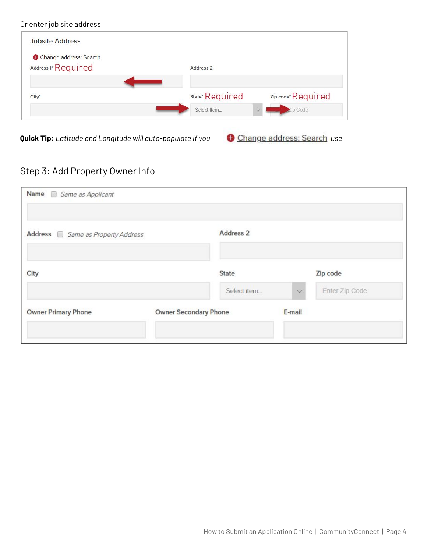#### Or enter job site address



**Quick Tip:** *Latitude and Longitude will auto-populate if you use*

## <span id="page-3-0"></span>Step 3: Add Property Owner Info

<span id="page-3-1"></span>

| Name <i>Same as Applicant</i>           |                              |                      |              |                |
|-----------------------------------------|------------------------------|----------------------|--------------|----------------|
| Address <i>Same as Property Address</i> |                              | Address <sub>2</sub> |              |                |
| City                                    |                              | State                |              | Zip code       |
|                                         |                              | Select item          | $\checkmark$ | Enter Zip Code |
| <b>Owner Primary Phone</b>              | <b>Owner Secondary Phone</b> |                      | E-mail       |                |
|                                         |                              |                      |              |                |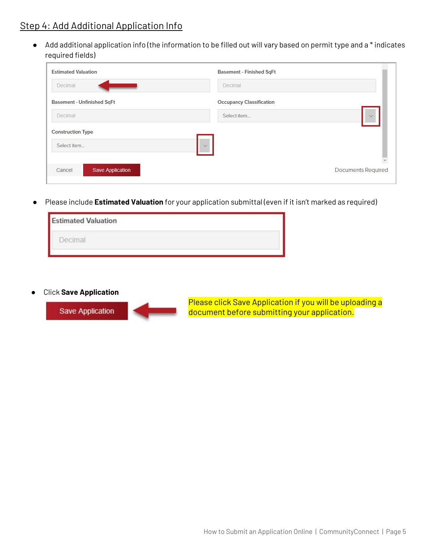## Step 4: Add Additional Application Info

*●* Add additional application info (the information to be filled out will vary based on permit type and a \* indicates required fields)

| <b>Estimated Valuation</b>        | <b>Basement - Finished SqFt</b> |                           |
|-----------------------------------|---------------------------------|---------------------------|
| Decimal                           | Decimal                         |                           |
| <b>Basement - Unfinished SqFt</b> | <b>Occupancy Classification</b> |                           |
| Decimal                           | Select item                     | $\vee$                    |
| <b>Construction Type</b>          |                                 |                           |
| Select item                       | $\vee$                          |                           |
|                                   |                                 |                           |
| <b>Save Application</b><br>Cancel |                                 | <b>Documents Required</b> |

● Please include **Estimated Valuation** for your application submittal (even if it isn't marked as required)



● Click **Save Application**



Please click Save Application if you will be uploading a document before submitting your application.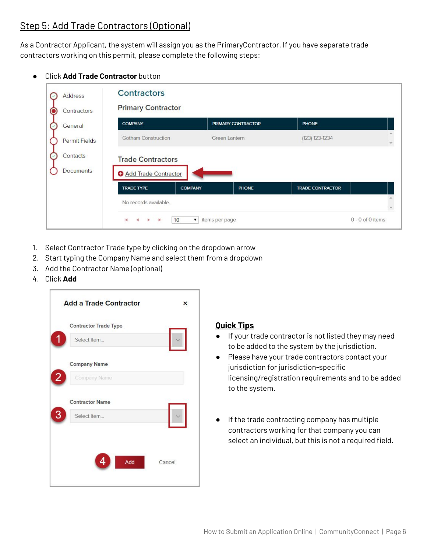## <span id="page-5-0"></span>Step 5: Add Trade Contractors (Optional)

As a Contractor Applicant, the system will assign you as the PrimaryContractor. If you have separate trade contractors working on this permit, please complete the following steps:

#### **Click Add Trade Contractor** button

| <b>Address</b><br>Contractors | <b>Contractors</b><br><b>Primary Contractor</b>    |                                            |                    |                         |                  |
|-------------------------------|----------------------------------------------------|--------------------------------------------|--------------------|-------------------------|------------------|
| General                       | <b>COMPANY</b>                                     |                                            | PRIMARY CONTRACTOR | <b>PHONE</b>            |                  |
| <b>Permit Fields</b>          | <b>Gotham Construction</b>                         |                                            | Green Lantern      | (123) 123-1234          |                  |
| Contacts<br><b>Documents</b>  | <b>Trade Contractors</b><br>Add Trade Contractor   |                                            |                    |                         |                  |
|                               | <b>TRADE TYPE</b>                                  | <b>COMPANY</b>                             | <b>PHONE</b>       | <b>TRADE CONTRACTOR</b> |                  |
|                               | No records available.                              |                                            |                    |                         |                  |
|                               | $\blacksquare$<br>$\blacktriangleright$<br>×<br>b. | 10<br>items per page<br>$\pmb{\mathbf{v}}$ |                    |                         | 0 - 0 of 0 items |

- 1. Select Contractor Trade type by clicking on the dropdown arrow
- 2. Start typing the Company Name and select them from a dropdown
- 3. Add the Contractor Name (optional)
- 4. Click **Add**



#### **Quick Tips**

- If your trade contractor is not listed they may need to be added to the system by the jurisdiction.
- Please have your trade contractors contact your jurisdiction for jurisdiction-specific licensing/registration requirements and to be added to the system.
- If the trade contracting company has multiple contractors working for that company you can select an individual, but this is not a required field.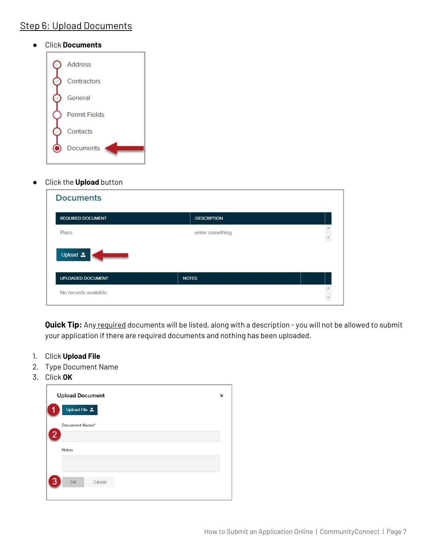## <span id="page-6-0"></span>Step 6: Upload Documents

#### ● Click **Documents**



● Click the **Upload** button

| <b>REQUIRED DOCUMENT</b> | <b>DESCRIPTION</b> |  |
|--------------------------|--------------------|--|
| Plans                    | enter something    |  |
|                          |                    |  |
|                          |                    |  |
| Upload 1                 |                    |  |

**Quick Tip:** Any required documents will be listed, along with a description - you will not be allowed to submit your application if there are required documents and nothing has been uploaded.

- 1. Click **Upload File**
- 2. Type Document Name
- 3. Click **OK**

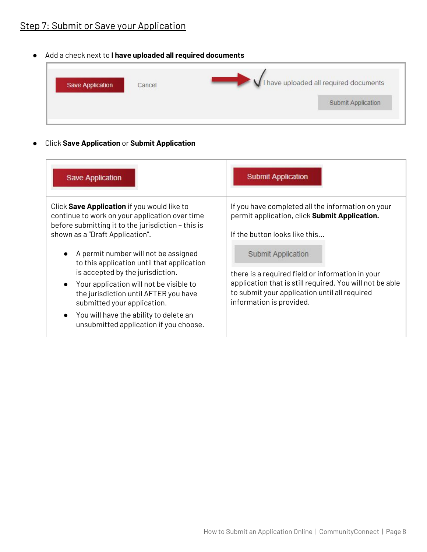## <span id="page-7-0"></span>Step 7: Submit or Save your Application

● Add a check next to **I have uploaded all required documents**

| <b>Save Application</b> | Cancel<br><b>CONTRACTOR</b> | VI have uploaded all required documents |
|-------------------------|-----------------------------|-----------------------------------------|
|                         |                             | Submit Application                      |

● Click **Save Application** or **Submit Application**

| <b>Save Application</b>                                                                                                                                                                                                                                                                                                                                              | <b>Submit Application</b>                                                                                                                                                                                              |
|----------------------------------------------------------------------------------------------------------------------------------------------------------------------------------------------------------------------------------------------------------------------------------------------------------------------------------------------------------------------|------------------------------------------------------------------------------------------------------------------------------------------------------------------------------------------------------------------------|
| Click Save Application if you would like to<br>continue to work on your application over time<br>before submitting it to the jurisdiction - this is<br>shown as a "Draft Application".                                                                                                                                                                               | If you have completed all the information on your<br>permit application, click Submit Application.<br>If the button looks like this                                                                                    |
| A permit number will not be assigned<br>$\bullet$<br>to this application until that application<br>is accepted by the jurisdiction.<br>Your application will not be visible to<br>$\bullet$<br>the jurisdiction until AFTER you have<br>submitted your application.<br>You will have the ability to delete an<br>$\bullet$<br>unsubmitted application if you choose. | <b>Submit Application</b><br>there is a required field or information in your<br>application that is still required. You will not be able<br>to submit your application until all required<br>information is provided. |